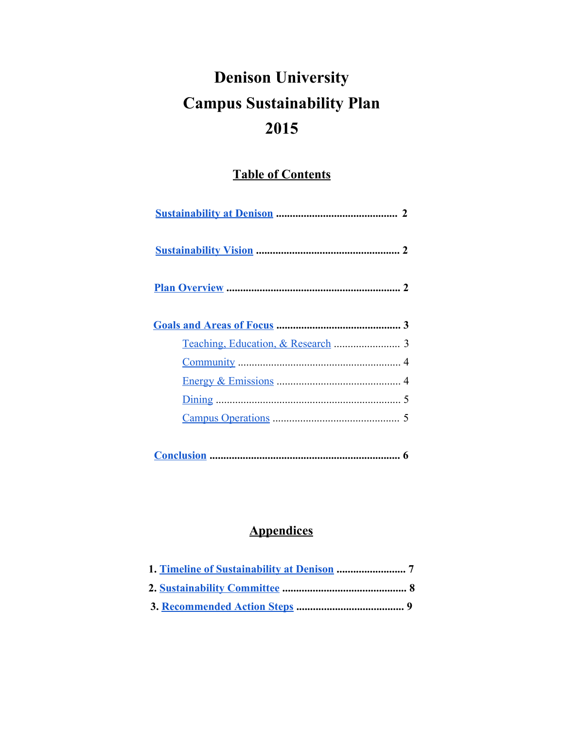# **Denison University Campus Sustainability Plan 2015**

## **Table of Contents**

## **Appendices**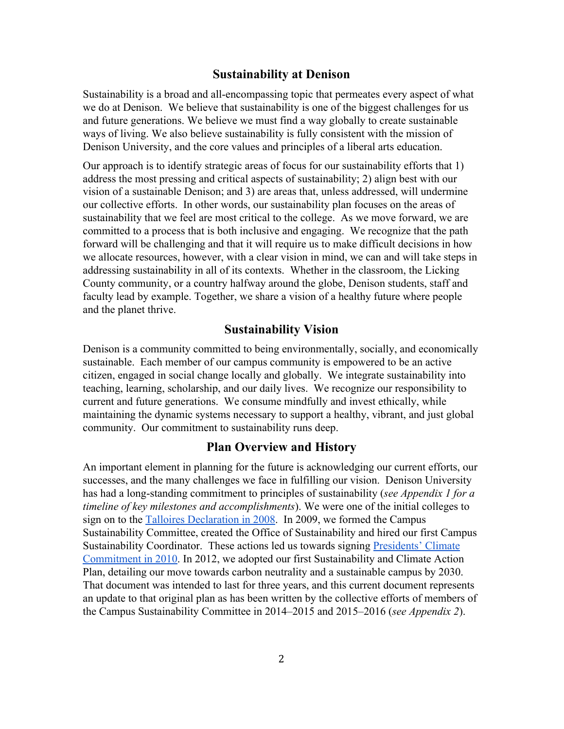## <span id="page-1-0"></span>**Sustainability at Denison**

Sustainability is a broad and allencompassing topic that permeates every aspect of what we do at Denison. We believe that sustainability is one of the biggest challenges for us and future generations. We believe we must find a way globally to create sustainable ways of living. We also believe sustainability is fully consistent with the mission of Denison University, and the core values and principles of a liberal arts education.

Our approach is to identify strategic areas of focus for our sustainability efforts that 1) address the most pressing and critical aspects of sustainability; 2) align best with our vision of a sustainable Denison; and 3) are areas that, unless addressed, will undermine our collective efforts. In other words, our sustainability plan focuses on the areas of sustainability that we feel are most critical to the college. As we move forward, we are committed to a process that is both inclusive and engaging. We recognize that the path forward will be challenging and that it will require us to make difficult decisions in how we allocate resources, however, with a clear vision in mind, we can and will take steps in addressing sustainability in all of its contexts. Whether in the classroom, the Licking County community, or a country halfway around the globe, Denison students, staff and faculty lead by example. Together, we share a vision of a healthy future where people and the planet thrive.

## <span id="page-1-1"></span>**Sustainability Vision**

Denison is a community committed to being environmentally, socially, and economically sustainable. Each member of our campus community is empowered to be an active citizen, engaged in social change locally and globally. We integrate sustainability into teaching, learning, scholarship, and our daily lives. We recognize our responsibility to current and future generations. We consume mindfully and invest ethically, while maintaining the dynamic systems necessary to support a healthy, vibrant, and just global community. Our commitment to sustainability runs deep.

## <span id="page-1-2"></span>**Plan Overview and History**

An important element in planning for the future is acknowledging our current efforts, our successes, and the many challenges we face in fulfilling our vision. Denison University has had a long-standing commitment to principles of sustainability (*see Appendix 1 for a timeline of key milestones and accomplishments*). We were one of the initial colleges to sign on to the [T](http://www.ulsf.org/programs_talloires.html)alloires [Declaration](http://www.ulsf.org/programs_talloires.html) in 2008. In 2009, we formed the Campus Sustainability Committee, created the Office of Sustainability and hired our first Campus Sustainability Coordinator. These actions led us towards signing [Presidents'](http://www2.presidentsclimatecommitment.org/html/signatories.php) Climate [Commitment](http://www2.presidentsclimatecommitment.org/html/signatories.php) in 2010. In 2012, we adopted our first Sustainability and Climate Action Plan, detailing our move towards carbon neutrality and a sustainable campus by 2030. That document was intended to last for three years, and this current document represents an update to that original plan as has been written by the collective efforts of members of the Campus Sustainability Committee in 2014–2015 and 2015–2016 (*see Appendix 2*).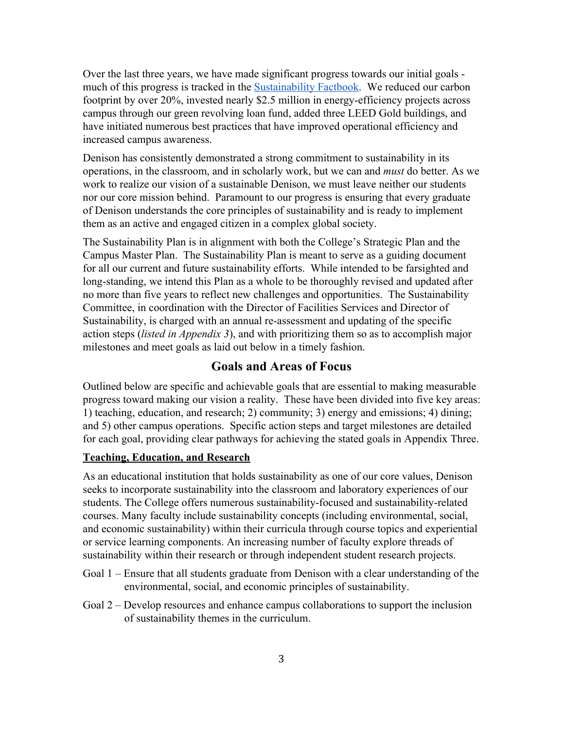Over the last three years, we have made significant progress towards our initial goals much of this progress is tracked in the [Sustainability](https://webapps-prod.cc.denison.edu/drupalcr/system/files/Sustainability%20Fact%20Book%202015.pptx) Factbook. We reduced our carbon footprint by over 20%, invested nearly \$2.5 million in energy-efficiency projects across campus through our green revolving loan fund, added three LEED Gold buildings, and have initiated numerous best practices that have improved operational efficiency and increased campus awareness.

Denison has consistently demonstrated a strong commitment to sustainability in its operations, in the classroom, and in scholarly work, but we can and *must* do better. As we work to realize our vision of a sustainable Denison, we must leave neither our students nor our core mission behind. Paramount to our progress is ensuring that every graduate of Denison understands the core principles of sustainability and is ready to implement them as an active and engaged citizen in a complex global society.

The Sustainability Plan is in alignment with both the College's Strategic Plan and the Campus Master Plan. The Sustainability Plan is meant to serve as a guiding document for all our current and future sustainability efforts. While intended to be farsighted and long-standing, we intend this Plan as a whole to be thoroughly revised and updated after no more than five years to reflect new challenges and opportunities. The Sustainability Committee, in coordination with the Director of Facilities Services and Director of Sustainability, is charged with an annual re-assessment and updating of the specific action steps (*listed in Appendix 3*), and with prioritizing them so as to accomplish major milestones and meet goals as laid out below in a timely fashion.

## <span id="page-2-0"></span>**Goals and Areas of Focus**

Outlined below are specific and achievable goals that are essential to making measurable progress toward making our vision a reality. These have been divided into five key areas: 1) teaching, education, and research; 2) community; 3) energy and emissions; 4) dining; and 5) other campus operations. Specific action steps and target milestones are detailed for each goal, providing clear pathways for achieving the stated goals in Appendix Three.

## <span id="page-2-1"></span>**Teaching, Education, and Research**

As an educational institution that holds sustainability as one of our core values, Denison seeks to incorporate sustainability into the classroom and laboratory experiences of our students. The College offers numerous sustainability-focused and sustainability-related courses. Many faculty include sustainability concepts (including environmental, social, and economic sustainability) within their curricula through course topics and experiential or service learning components. An increasing number of faculty explore threads of sustainability within their research or through independent student research projects.

- Goal 1 Ensure that all students graduate from Denison with a clear understanding of the environmental, social, and economic principles of sustainability.
- Goal 2 Develop resources and enhance campus collaborations to support the inclusion of sustainability themes in the curriculum.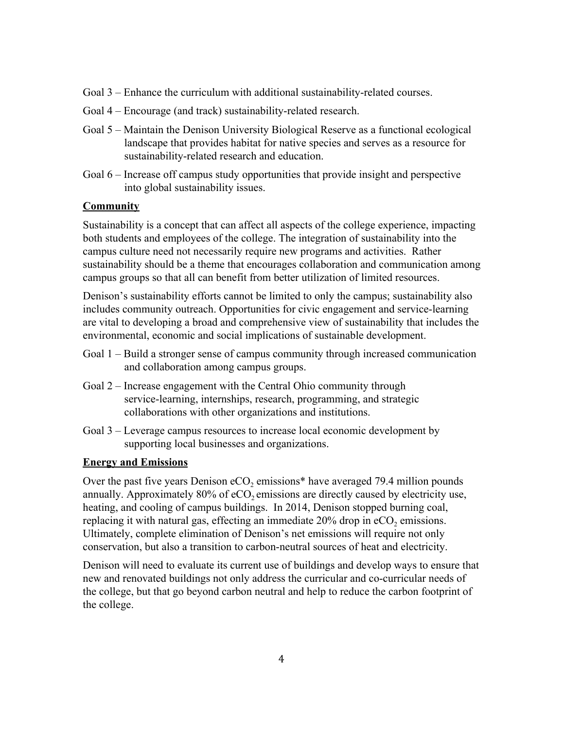- Goal 3 Enhance the curriculum with additional sustainability-related courses.
- Goal 4 Encourage (and track) sustainability-related research.
- Goal 5 Maintain the Denison University Biological Reserve as a functional ecological landscape that provides habitat for native species and serves as a resource for sustainability-related research and education.
- Goal 6 Increase off campus study opportunities that provide insight and perspective into global sustainability issues.

### **Community**

Sustainability is a concept that can affect all aspects of the college experience, impacting both students and employees of the college. The integration of sustainability into the campus culture need not necessarily require new programs and activities. Rather sustainability should be a theme that encourages collaboration and communication among campus groups so that all can benefit from better utilization of limited resources.

Denison's sustainability efforts cannot be limited to only the campus; sustainability also includes community outreach. Opportunities for civic engagement and servicelearning are vital to developing a broad and comprehensive view of sustainability that includes the environmental, economic and social implications of sustainable development.

- Goal 1 Build a stronger sense of campus community through increased communication and collaboration among campus groups.
- Goal 2 Increase engagement with the Central Ohio community through service-learning, internships, research, programming, and strategic collaborations with other organizations and institutions.
- Goal 3 Leverage campus resources to increase local economic development by supporting local businesses and organizations.

## <span id="page-3-0"></span>**Energy and Emissions**

Over the past five years Denison  $eCO<sub>2</sub>$  emissions\* have averaged 79.4 million pounds annually. Approximately  $80\%$  of  $eCO$ , emissions are directly caused by electricity use, heating, and cooling of campus buildings. In 2014, Denison stopped burning coal, replacing it with natural gas, effecting an immediate  $20\%$  drop in  $eCO$ , emissions. Ultimately, complete elimination of Denison's net emissions will require not only conservation, but also a transition to carbon-neutral sources of heat and electricity.

Denison will need to evaluate its current use of buildings and develop ways to ensure that new and renovated buildings not only address the curricular and cocurricular needs of the college, but that go beyond carbon neutral and help to reduce the carbon footprint of the college.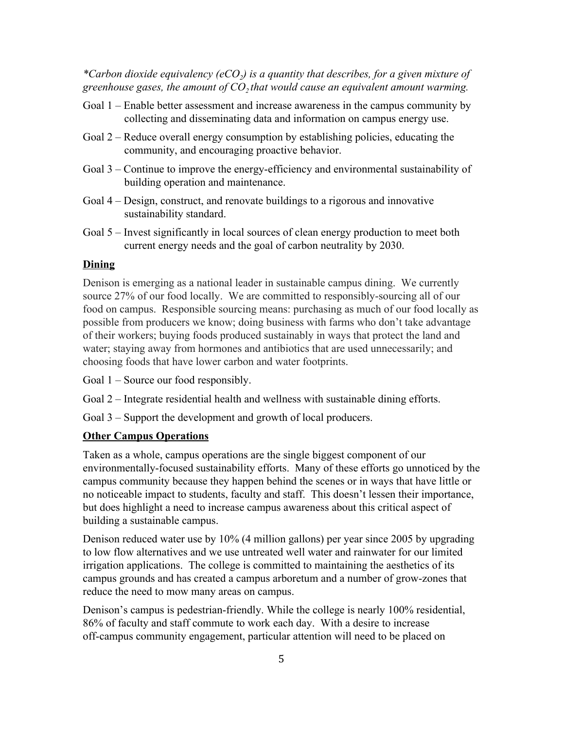*\*Carbon dioxide equivalency (eCO<sup>2</sup> ) is a quantity that describes, for a given mixture of greenhouse gases, the amount of CO<sup>2</sup> that would cause an equivalent amount warming.*

- Goal 1 Enable better assessment and increase awareness in the campus community by collecting and disseminating data and information on campus energy use.
- Goal 2 Reduce overall energy consumption by establishing policies, educating the community, and encouraging proactive behavior.
- Goal 3 Continue to improve the energy-efficiency and environmental sustainability of building operation and maintenance.
- Goal 4 Design, construct, and renovate buildings to a rigorous and innovative sustainability standard.
- Goal 5 Invest significantly in local sources of clean energy production to meet both current energy needs and the goal of carbon neutrality by 2030.

## <span id="page-4-0"></span>**Dining**

Denison is emerging as a national leader in sustainable campus dining. We currently source 27% of our food locally. We are committed to responsibly-sourcing all of our food on campus. Responsible sourcing means: purchasing as much of our food locally as possible from producers we know; doing business with farms who don't take advantage of their workers; buying foods produced sustainably in ways that protect the land and water; staying away from hormones and antibiotics that are used unnecessarily; and choosing foods that have lower carbon and water footprints.

Goal 1 – Source our food responsibly.

Goal 2 – Integrate residential health and wellness with sustainable dining efforts.

Goal 3 – Support the development and growth of local producers.

### <span id="page-4-1"></span>**Other Campus Operations**

Taken as a whole, campus operations are the single biggest component of our environmentally-focused sustainability efforts. Many of these efforts go unnoticed by the campus community because they happen behind the scenes or in ways that have little or no noticeable impact to students, faculty and staff. This doesn't lessen their importance, but does highlight a need to increase campus awareness about this critical aspect of building a sustainable campus.

Denison reduced water use by 10% (4 million gallons) per year since 2005 by upgrading to low flow alternatives and we use untreated well water and rainwater for our limited irrigation applications. The college is committed to maintaining the aesthetics of its campus grounds and has created a campus arboretum and a number of growzones that reduce the need to mow many areas on campus.

Denison's campus is pedestrian-friendly. While the college is nearly 100% residential, 86% of faculty and staff commute to work each day. With a desire to increase off-campus community engagement, particular attention will need to be placed on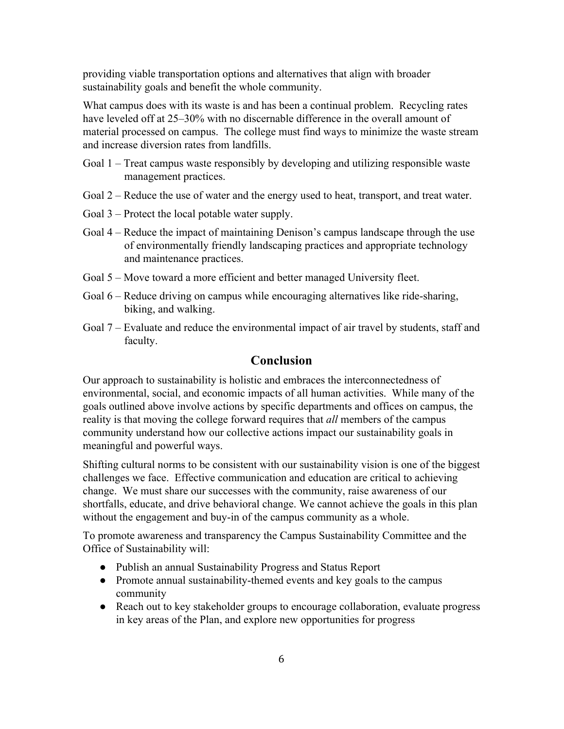providing viable transportation options and alternatives that align with broader sustainability goals and benefit the whole community.

What campus does with its waste is and has been a continual problem. Recycling rates have leveled off at 25–30% with no discernable difference in the overall amount of material processed on campus. The college must find ways to minimize the waste stream and increase diversion rates from landfills.

- Goal 1 Treat campus waste responsibly by developing and utilizing responsible waste management practices.
- Goal 2 Reduce the use of water and the energy used to heat, transport, and treat water.
- Goal 3 Protect the local potable water supply.
- Goal 4 Reduce the impact of maintaining Denison's campus landscape through the use of environmentally friendly landscaping practices and appropriate technology and maintenance practices.
- Goal 5 Move toward a more efficient and better managed University fleet.
- Goal  $6$  Reduce driving on campus while encouraging alternatives like ride-sharing, biking, and walking.
- Goal 7 Evaluate and reduce the environmental impact of air travel by students, staff and faculty.

## <span id="page-5-0"></span>**Conclusion**

Our approach to sustainability is holistic and embraces the interconnectedness of environmental, social, and economic impacts of all human activities. While many of the goals outlined above involve actions by specific departments and offices on campus, the reality is that moving the college forward requires that *all* members of the campus community understand how our collective actions impact our sustainability goals in meaningful and powerful ways.

Shifting cultural norms to be consistent with our sustainability vision is one of the biggest challenges we face. Effective communication and education are critical to achieving change. We must share our successes with the community, raise awareness of our shortfalls, educate, and drive behavioral change. We cannot achieve the goals in this plan without the engagement and buy-in of the campus community as a whole.

To promote awareness and transparency the Campus Sustainability Committee and the Office of Sustainability will:

- Publish an annual Sustainability Progress and Status Report
- Promote annual sustainability-themed events and key goals to the campus community
- Reach out to key stakeholder groups to encourage collaboration, evaluate progress in key areas of the Plan, and explore new opportunities for progress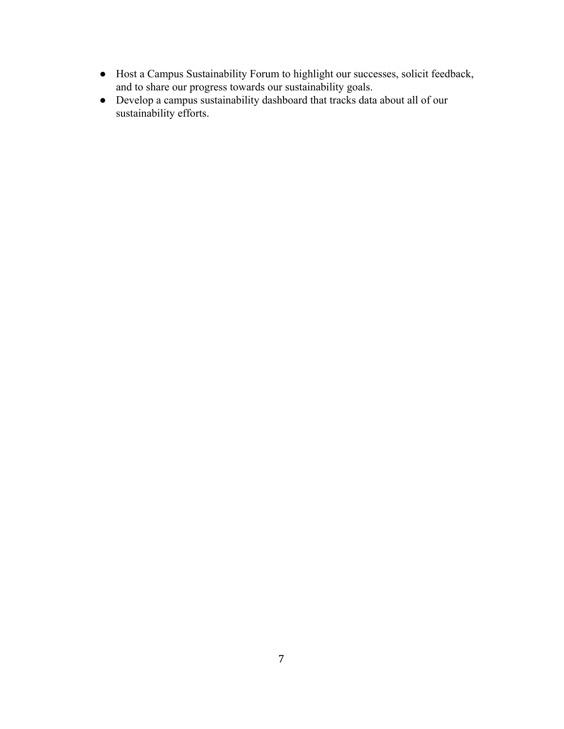- Host a Campus Sustainability Forum to highlight our successes, solicit feedback, and to share our progress towards our sustainability goals.
- Develop a campus sustainability dashboard that tracks data about all of our sustainability efforts.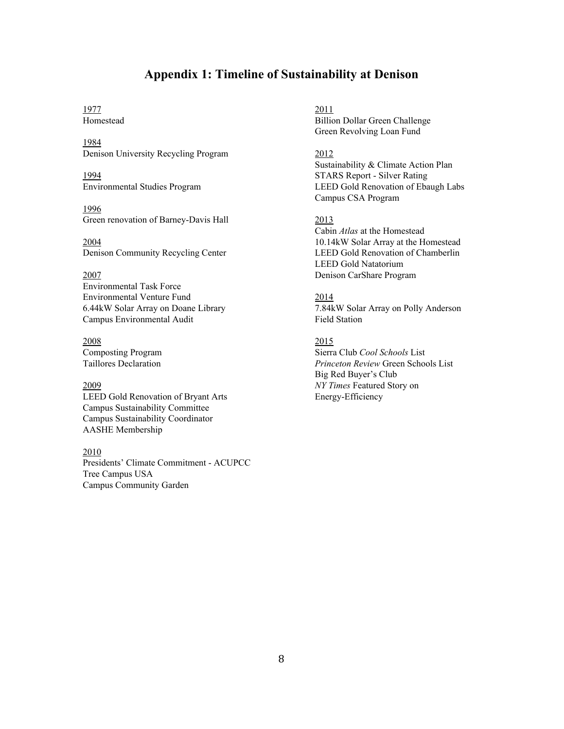## <span id="page-7-0"></span>**Appendix 1: Timeline of Sustainability at Denison**

## 1977 2011

1984 Denison University Recycling Program 2012

1996 Green renovation of Barney-Davis Hall 2013

Environmental Task Force Environmental Venture Fund 2014 Campus Environmental Audit Field Station

2008 2015

LEED Gold Renovation of Bryant Arts Energy-Efficiency Campus Sustainability Committee Campus Sustainability Coordinator AASHE Membership

#### 2010

Presidents' Climate Commitment ACUPCC Tree Campus USA Campus Community Garden

Homestead Billion Dollar Green Challenge Green Revolving Loan Fund

Sustainability & Climate Action Plan 1994 STARS Report Silver Rating Environmental Studies Program LEED Gold Renovation of Ebaugh Labs Campus CSA Program

Cabin *Atlas* at the Homestead 2004 10.14kW Solar Array at the Homestead Denison Community Recycling Center LEED Gold Renovation of Chamberlin LEED Gold Natatorium 2007 Denison CarShare Program

6.44kW Solar Array on Doane Library 7.84kW Solar Array on Polly Anderson

Composting Program Sierra Club *Cool Schools* List Taillores Declaration *Princeton Review* Green Schools List Big Red Buyer's Club 2009 *NY Times* Featured Story on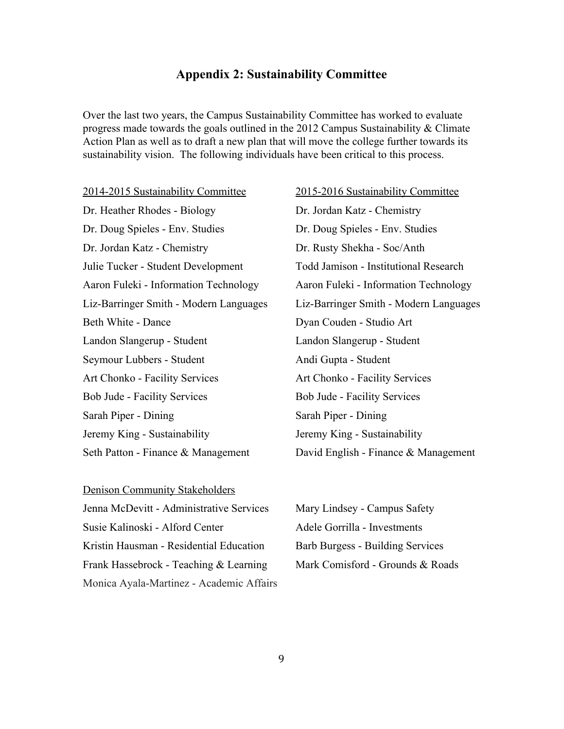## <span id="page-8-0"></span>**Appendix 2: Sustainability Committee**

Over the last two years, the Campus Sustainability Committee has worked to evaluate progress made towards the goals outlined in the 2012 Campus Sustainability & Climate Action Plan as well as to draft a new plan that will move the college further towards its sustainability vision. The following individuals have been critical to this process.

20142015 Sustainability Committee 20152016 Sustainability Committee Dr. Heather Rhodes - Biology Dr. Jordan Katz - Chemistry Dr. Doug Spieles - Env. Studies Dr. Doug Spieles - Env. Studies Dr. Jordan Katz - Chemistry Dr. Rusty Shekha - Soc/Anth Julie Tucker Student Development Todd Jamison Institutional Research Aaron Fuleki Information Technology Aaron Fuleki Information Technology Beth White - Dance Dyan Couden - Studio Art Landon Slangerup - Student Landon Slangerup - Student Seymour Lubbers - Student Andi Gupta - Student Art Chonko - Facility Services Art Chonko - Facility Services Bob Jude - Facility Services<br>Bob Jude - Facility Services Sarah Piper - Dining Sarah Piper - Dining Jeremy King - Sustainability Jeremy King - Sustainability

Liz-Barringer Smith - Modern Languages Liz-Barringer Smith - Modern Languages Seth Patton - Finance & Management David English - Finance & Management

Denison Community Stakeholders Jenna McDevitt Administrative Services Mary Lindsey Campus Safety Susie Kalinoski - Alford Center Adele Gorrilla - Investments Kristin Hausman - Residential Education Barb Burgess - Building Services Frank Hassebrock - Teaching & Learning Mark Comisford - Grounds & Roads Monica Ayala-Martinez - Academic Affairs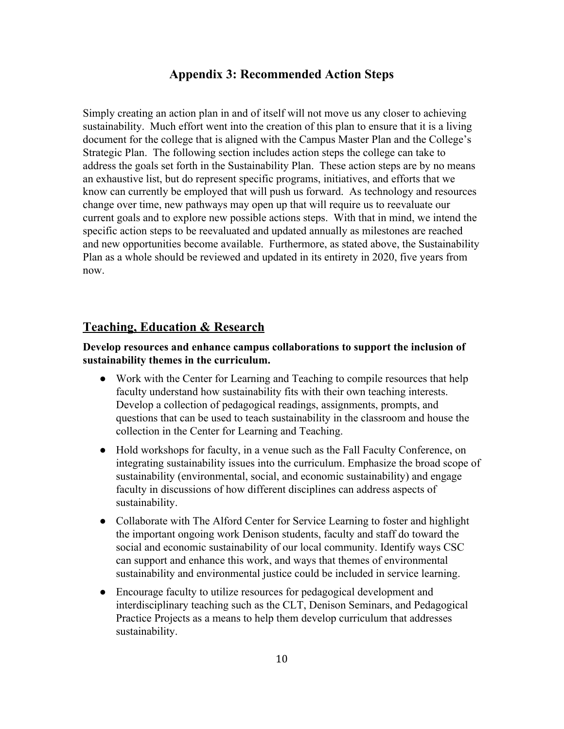## <span id="page-9-0"></span>**Appendix 3: Recommended Action Steps**

Simply creating an action plan in and of itself will not move us any closer to achieving sustainability. Much effort went into the creation of this plan to ensure that it is a living document for the college that is aligned with the Campus Master Plan and the College's Strategic Plan. The following section includes action steps the college can take to address the goals set forth in the Sustainability Plan. These action steps are by no means an exhaustive list, but do represent specific programs, initiatives, and efforts that we know can currently be employed that will push us forward. As technology and resources change over time, new pathways may open up that will require us to reevaluate our current goals and to explore new possible actions steps. With that in mind, we intend the specific action steps to be reevaluated and updated annually as milestones are reached and new opportunities become available. Furthermore, as stated above, the Sustainability Plan as a whole should be reviewed and updated in its entirety in 2020, five years from now.

## **Teaching, Education & Research**

## **Develop resources and enhance campus collaborations to support the inclusion of sustainability themes in the curriculum.**

- Work with the Center for Learning and Teaching to compile resources that help faculty understand how sustainability fits with their own teaching interests. Develop a collection of pedagogical readings, assignments, prompts, and questions that can be used to teach sustainability in the classroom and house the collection in the Center for Learning and Teaching.
- Hold workshops for faculty, in a venue such as the Fall Faculty Conference, on integrating sustainability issues into the curriculum. Emphasize the broad scope of sustainability (environmental, social, and economic sustainability) and engage faculty in discussions of how different disciplines can address aspects of sustainability.
- Collaborate with The Alford Center for Service Learning to foster and highlight the important ongoing work Denison students, faculty and staff do toward the social and economic sustainability of our local community. Identify ways CSC can support and enhance this work, and ways that themes of environmental sustainability and environmental justice could be included in service learning.
- Encourage faculty to utilize resources for pedagogical development and interdisciplinary teaching such as the CLT, Denison Seminars, and Pedagogical Practice Projects as a means to help them develop curriculum that addresses sustainability.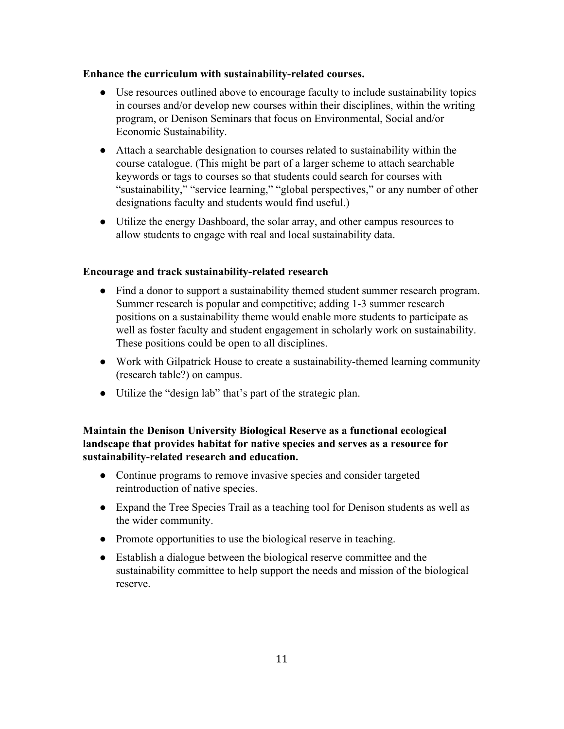## **Enhance** the curriculum with sustainability-related courses.

- Use resources outlined above to encourage faculty to include sustainability topics in courses and/or develop new courses within their disciplines, within the writing program, or Denison Seminars that focus on Environmental, Social and/or Economic Sustainability.
- Attach a searchable designation to courses related to sustainability within the course catalogue. (This might be part of a larger scheme to attach searchable keywords or tags to courses so that students could search for courses with "sustainability," "service learning," "global perspectives," or any number of other designations faculty and students would find useful.)
- Utilize the energy Dashboard, the solar array, and other campus resources to allow students to engage with real and local sustainability data.

### **Encourage and track sustainability-related research**

- Find a donor to support a sustainability themed student summer research program. Summer research is popular and competitive; adding 1-3 summer research positions on a sustainability theme would enable more students to participate as well as foster faculty and student engagement in scholarly work on sustainability. These positions could be open to all disciplines.
- Work with Gilpatrick House to create a sustainability-themed learning community (research table?) on campus.
- Utilize the "design lab" that's part of the strategic plan.

## **Maintain the Denison University Biological Reserve as a functional ecological landscape that provides habitat for native species and serves as a resource for sustainabilityrelated research and education.**

- Continue programs to remove invasive species and consider targeted reintroduction of native species.
- Expand the Tree Species Trail as a teaching tool for Denison students as well as the wider community.
- Promote opportunities to use the biological reserve in teaching.
- Establish a dialogue between the biological reserve committee and the sustainability committee to help support the needs and mission of the biological reserve.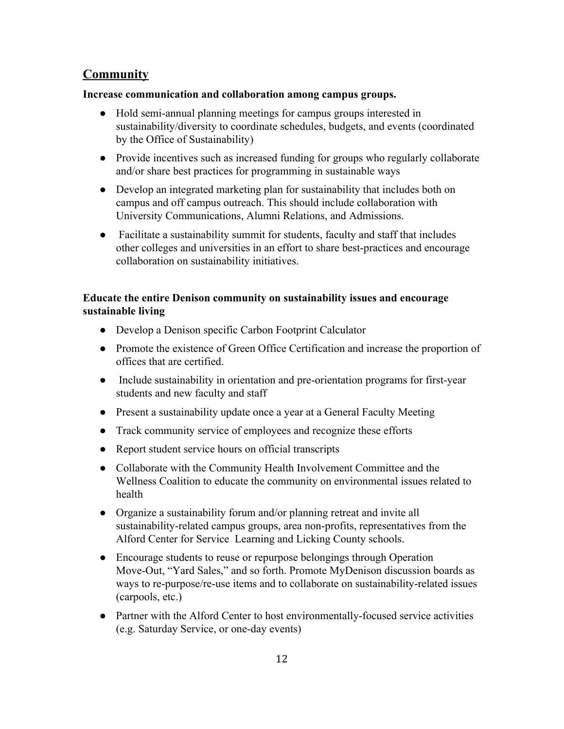## **Community**

## **Increase communication and collaboration among campus groups.**

- Hold semi-annual planning meetings for campus groups interested in sustainability/diversity to coordinate schedules, budgets, and events (coordinated by the Office of Sustainability)
- Provide incentives such as increased funding for groups who regularly collaborate and/or share best practices for programming in sustainable ways
- Develop an integrated marketing plan for sustainability that includes both on campus and off campus outreach. This should include collaboration with University Communications, Alumni Relations, and Admissions.
- Facilitate a sustainability summit for students, faculty and staff that includes other colleges and universities in an effort to share best-practices and encourage collaboration on sustainability initiatives.

## **Educate the entire Denison community on sustainability issues and encourage sustainable living**

- Develop a Denison specific Carbon Footprint Calculator
- Promote the existence of Green Office Certification and increase the proportion of offices that are certified.
- Include sustainability in orientation and pre-orientation programs for first-year students and new faculty and staff
- Present a sustainability update once a year at a General Faculty Meeting
- Track community service of employees and recognize these efforts
- Report student service hours on official transcripts
- Collaborate with the Community Health Involvement Committee and the Wellness Coalition to educate the community on environmental issues related to health
- Organize a sustainability forum and/or planning retreat and invite all sustainability-related campus groups, area non-profits, representatives from the Alford Center for Service Learning and Licking County schools.
- Encourage students to reuse or repurpose belongings through Operation Move-Out, "Yard Sales," and so forth. Promote MyDenison discussion boards as ways to re-purpose/re-use items and to collaborate on sustainability-related issues (carpools, etc.)
- Partner with the Alford Center to host environmentally-focused service activities (e.g. Saturday Service, or one-day events)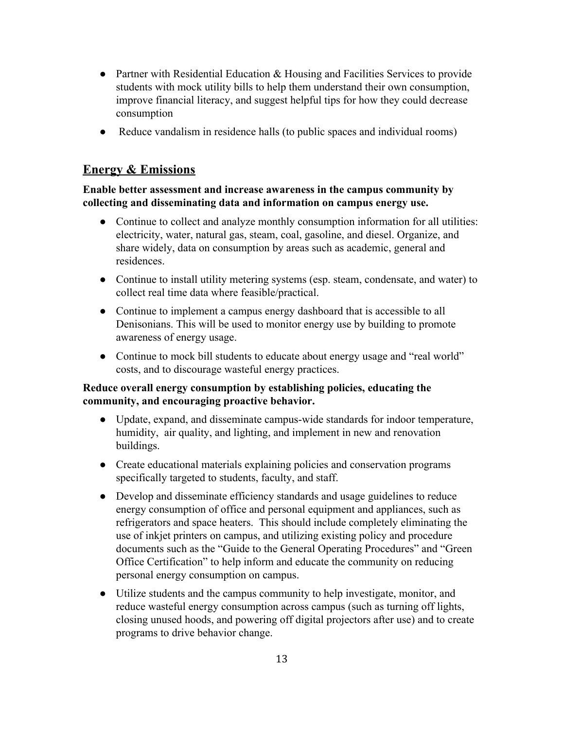- Partner with Residential Education & Housing and Facilities Services to provide students with mock utility bills to help them understand their own consumption, improve financial literacy, and suggest helpful tips for how they could decrease consumption
- Reduce vandalism in residence halls (to public spaces and individual rooms)

## **Energy & Emissions**

## **Enable better assessment and increase awareness in the campus community by collecting and disseminating data and information on campus energy use.**

- Continue to collect and analyze monthly consumption information for all utilities: electricity, water, natural gas, steam, coal, gasoline, and diesel. Organize, and share widely, data on consumption by areas such as academic, general and residences.
- Continue to install utility metering systems (esp. steam, condensate, and water) to collect real time data where feasible/practical.
- Continue to implement a campus energy dashboard that is accessible to all Denisonians. This will be used to monitor energy use by building to promote awareness of energy usage.
- Continue to mock bill students to educate about energy usage and "real world" costs, and to discourage wasteful energy practices.

## **Reduce overall energy consumption by establishing policies, educating the community, and encouraging proactive behavior.**

- Update, expand, and disseminate campus-wide standards for indoor temperature, humidity, air quality, and lighting, and implement in new and renovation buildings.
- Create educational materials explaining policies and conservation programs specifically targeted to students, faculty, and staff.
- Develop and disseminate efficiency standards and usage guidelines to reduce energy consumption of office and personal equipment and appliances, such as refrigerators and space heaters. This should include completely eliminating the use of inkjet printers on campus, and utilizing existing policy and procedure documents such as the "Guide to the General Operating Procedures" and "Green Office Certification" to help inform and educate the community on reducing personal energy consumption on campus.
- Utilize students and the campus community to help investigate, monitor, and reduce wasteful energy consumption across campus (such as turning off lights, closing unused hoods, and powering off digital projectors after use) and to create programs to drive behavior change.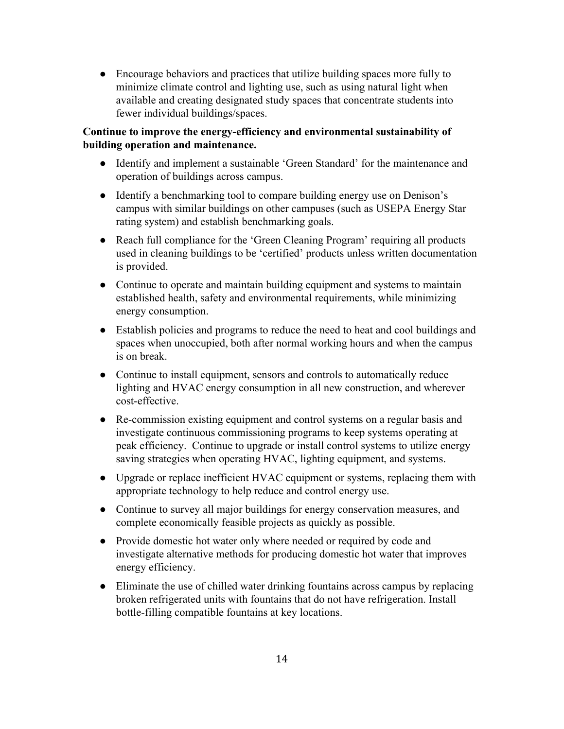● Encourage behaviors and practices that utilize building spaces more fully to minimize climate control and lighting use, such as using natural light when available and creating designated study spaces that concentrate students into fewer individual buildings/spaces.

## **Continue to improve the energyefficiency and environmental sustainability of building operation and maintenance.**

- Identify and implement a sustainable 'Green Standard' for the maintenance and operation of buildings across campus.
- Identify a benchmarking tool to compare building energy use on Denison's campus with similar buildings on other campuses (such as USEPA Energy Star rating system) and establish benchmarking goals.
- Reach full compliance for the 'Green Cleaning Program' requiring all products used in cleaning buildings to be 'certified' products unless written documentation is provided.
- Continue to operate and maintain building equipment and systems to maintain established health, safety and environmental requirements, while minimizing energy consumption.
- Establish policies and programs to reduce the need to heat and cool buildings and spaces when unoccupied, both after normal working hours and when the campus is on break.
- Continue to install equipment, sensors and controls to automatically reduce lighting and HVAC energy consumption in all new construction, and wherever cost-effective.
- Re-commission existing equipment and control systems on a regular basis and investigate continuous commissioning programs to keep systems operating at peak efficiency. Continue to upgrade or install control systems to utilize energy saving strategies when operating HVAC, lighting equipment, and systems.
- Upgrade or replace inefficient HVAC equipment or systems, replacing them with appropriate technology to help reduce and control energy use.
- Continue to survey all major buildings for energy conservation measures, and complete economically feasible projects as quickly as possible.
- Provide domestic hot water only where needed or required by code and investigate alternative methods for producing domestic hot water that improves energy efficiency.
- Eliminate the use of chilled water drinking fountains across campus by replacing broken refrigerated units with fountains that do not have refrigeration. Install bottle-filling compatible fountains at key locations.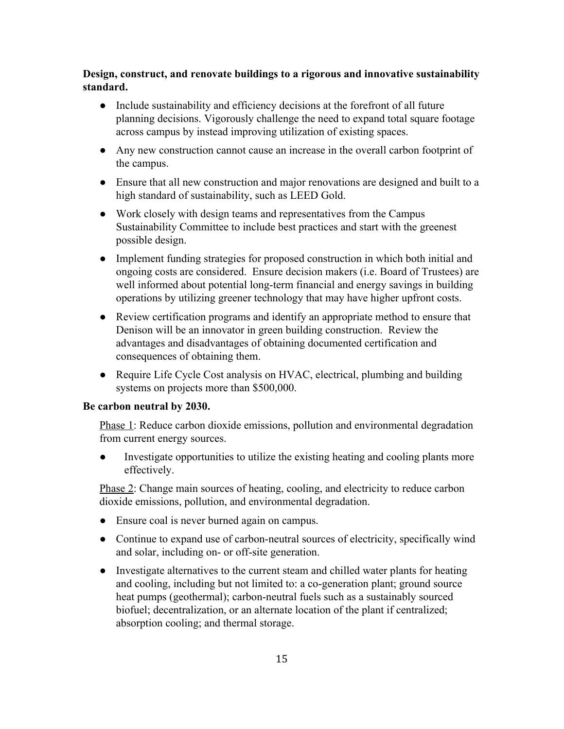**Design, construct, and renovate buildings to a rigorous and innovative sustainability standard.**

- Include sustainability and efficiency decisions at the forefront of all future planning decisions. Vigorously challenge the need to expand total square footage across campus by instead improving utilization of existing spaces.
- Any new construction cannot cause an increase in the overall carbon footprint of the campus.
- Ensure that all new construction and major renovations are designed and built to a high standard of sustainability, such as LEED Gold.
- Work closely with design teams and representatives from the Campus Sustainability Committee to include best practices and start with the greenest possible design.
- Implement funding strategies for proposed construction in which both initial and ongoing costs are considered. Ensure decision makers (i.e. Board of Trustees) are well informed about potential long-term financial and energy savings in building operations by utilizing greener technology that may have higher upfront costs.
- Review certification programs and identify an appropriate method to ensure that Denison will be an innovator in green building construction. Review the advantages and disadvantages of obtaining documented certification and consequences of obtaining them.
- Require Life Cycle Cost analysis on HVAC, electrical, plumbing and building systems on projects more than \$500,000.

#### **Be carbon neutral by 2030.**

Phase 1: Reduce carbon dioxide emissions, pollution and environmental degradation from current energy sources.

Investigate opportunities to utilize the existing heating and cooling plants more effectively.

Phase 2: Change main sources of heating, cooling, and electricity to reduce carbon dioxide emissions, pollution, and environmental degradation.

- Ensure coal is never burned again on campus.
- Continue to expand use of carbon-neutral sources of electricity, specifically wind and solar, including on- or off-site generation.
- Investigate alternatives to the current steam and chilled water plants for heating and cooling, including but not limited to: a co-generation plant; ground source heat pumps (geothermal); carbon-neutral fuels such as a sustainably sourced biofuel; decentralization, or an alternate location of the plant if centralized; absorption cooling; and thermal storage.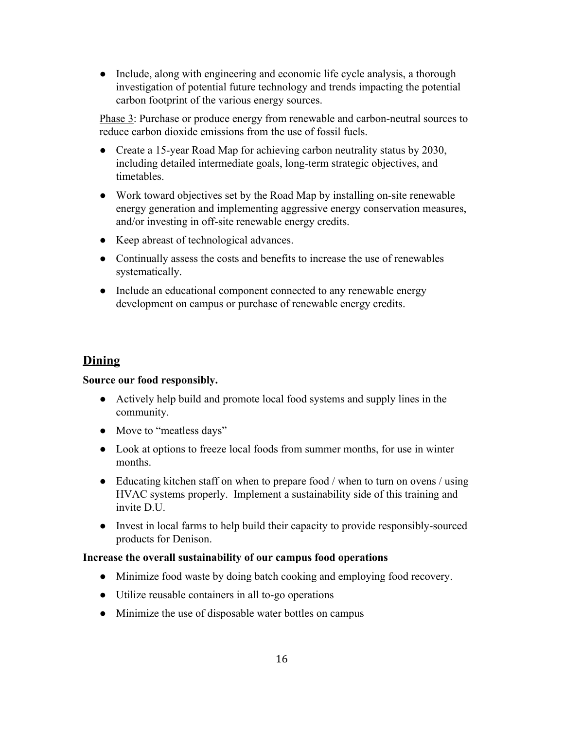• Include, along with engineering and economic life cycle analysis, a thorough investigation of potential future technology and trends impacting the potential carbon footprint of the various energy sources.

Phase 3: Purchase or produce energy from renewable and carbon-neutral sources to reduce carbon dioxide emissions from the use of fossil fuels.

- Create a 15-year Road Map for achieving carbon neutrality status by 2030, including detailed intermediate goals, long-term strategic objectives, and timetables.
- Work toward objectives set by the Road Map by installing on-site renewable energy generation and implementing aggressive energy conservation measures, and/or investing in off-site renewable energy credits.
- Keep abreast of technological advances.
- Continually assess the costs and benefits to increase the use of renewables systematically.
- Include an educational component connected to any renewable energy development on campus or purchase of renewable energy credits.

## **Dining**

## **Source our food responsibly.**

- Actively help build and promote local food systems and supply lines in the community.
- Move to "meatless days"
- Look at options to freeze local foods from summer months, for use in winter months.
- Educating kitchen staff on when to prepare food / when to turn on ovens / using HVAC systems properly. Implement a sustainability side of this training and invite D.U.
- Invest in local farms to help build their capacity to provide responsibly-sourced products for Denison.

## **Increase the overall sustainability of our campus food operations**

- Minimize food waste by doing batch cooking and employing food recovery.
- Utilize reusable containers in all to-go operations
- Minimize the use of disposable water bottles on campus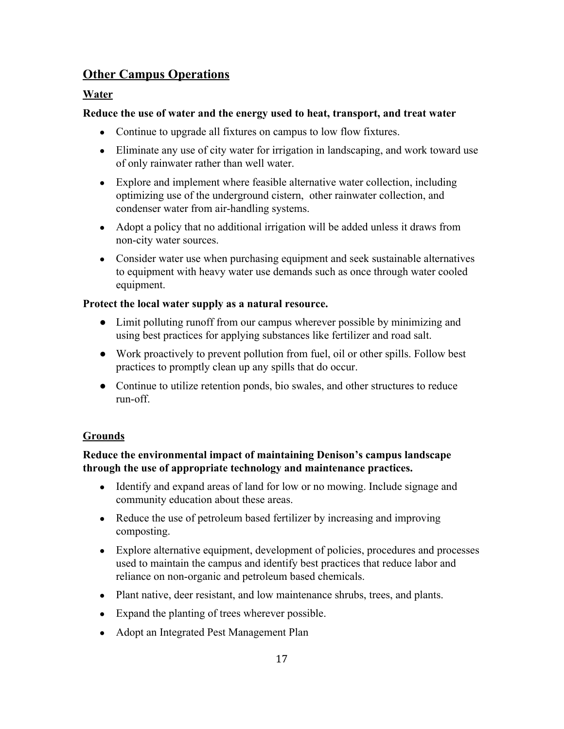## **Other Campus Operations**

## **Water**

## **Reduce the use of water and the energy used to heat, transport, and treat water**

- Continue to upgrade all fixtures on campus to low flow fixtures.
- Eliminate any use of city water for irrigation in landscaping, and work toward use of only rainwater rather than well water.
- Explore and implement where feasible alternative water collection, including optimizing use of the underground cistern, other rainwater collection, and condenser water from air-handling systems.
- Adopt a policy that no additional irrigation will be added unless it draws from non-city water sources.
- Consider water use when purchasing equipment and seek sustainable alternatives to equipment with heavy water use demands such as once through water cooled equipment.

## **Protect the local water supply as a natural resource.**

- Limit polluting runoff from our campus wherever possible by minimizing and using best practices for applying substances like fertilizer and road salt.
- Work proactively to prevent pollution from fuel, oil or other spills. Follow best practices to promptly clean up any spills that do occur.
- Continue to utilize retention ponds, bio swales, and other structures to reduce  $run-off$ .

## **Grounds**

## **Reduce the environmental impact of maintaining Denison's campus landscape through the use of appropriate technology and maintenance practices.**

- Identify and expand areas of land for low or no mowing. Include signage and community education about these areas.
- Reduce the use of petroleum based fertilizer by increasing and improving composting.
- Explore alternative equipment, development of policies, procedures and processes used to maintain the campus and identify best practices that reduce labor and reliance on non-organic and petroleum based chemicals.
- Plant native, deer resistant, and low maintenance shrubs, trees, and plants.
- Expand the planting of trees wherever possible.
- Adopt an Integrated Pest Management Plan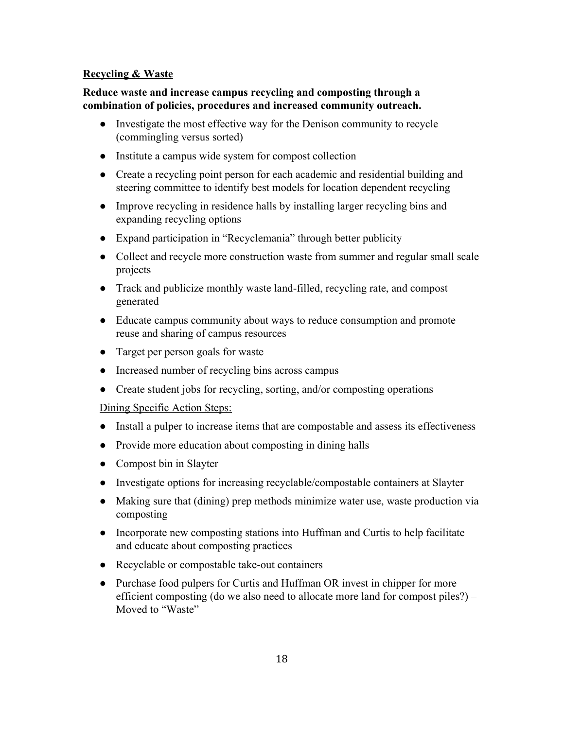## **Recycling & Waste**

## **Reduce waste and increase campus recycling and composting through a combination of policies, procedures and increased community outreach.**

- Investigate the most effective way for the Denison community to recycle (commingling versus sorted)
- Institute a campus wide system for compost collection
- Create a recycling point person for each academic and residential building and steering committee to identify best models for location dependent recycling
- Improve recycling in residence halls by installing larger recycling bins and expanding recycling options
- Expand participation in "Recyclemania" through better publicity
- Collect and recycle more construction waste from summer and regular small scale projects
- Track and publicize monthly waste land-filled, recycling rate, and compost generated
- Educate campus community about ways to reduce consumption and promote reuse and sharing of campus resources
- Target per person goals for waste
- Increased number of recycling bins across campus
- Create student jobs for recycling, sorting, and/or composting operations

## Dining Specific Action Steps:

- Install a pulper to increase items that are compostable and assess its effectiveness
- Provide more education about composting in dining halls
- Compost bin in Slayter
- Investigate options for increasing recyclable/compostable containers at Slayter
- Making sure that (dining) prep methods minimize water use, waste production via composting
- Incorporate new composting stations into Huffman and Curtis to help facilitate and educate about composting practices
- Recyclable or compostable take-out containers
- Purchase food pulpers for Curtis and Huffman OR invest in chipper for more efficient composting (do we also need to allocate more land for compost piles?) – Moved to "Waste"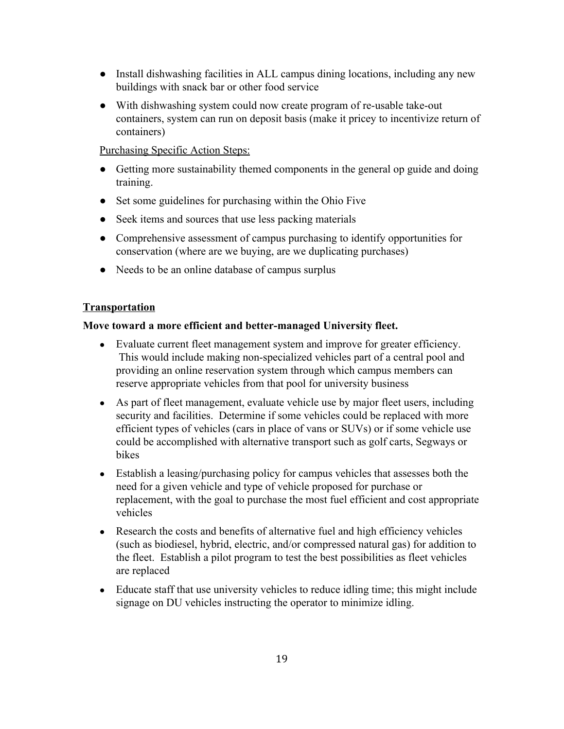- Install dishwashing facilities in ALL campus dining locations, including any new buildings with snack bar or other food service
- With dishwashing system could now create program of re-usable take-out containers, system can run on deposit basis (make it pricey to incentivize return of containers)

Purchasing Specific Action Steps:

- Getting more sustainability themed components in the general op guide and doing training.
- Set some guidelines for purchasing within the Ohio Five
- Seek items and sources that use less packing materials
- Comprehensive assessment of campus purchasing to identify opportunities for conservation (where are we buying, are we duplicating purchases)
- Needs to be an online database of campus surplus

## **Transportation**

### **Move toward a more efficient and bettermanaged University fleet.**

- Evaluate current fleet management system and improve for greater efficiency. This would include making non-specialized vehicles part of a central pool and providing an online reservation system through which campus members can reserve appropriate vehicles from that pool for university business
- As part of fleet management, evaluate vehicle use by major fleet users, including security and facilities. Determine if some vehicles could be replaced with more efficient types of vehicles (cars in place of vans or SUVs) or if some vehicle use could be accomplished with alternative transport such as golf carts, Segways or bikes
- Establish a leasing/purchasing policy for campus vehicles that assesses both the need for a given vehicle and type of vehicle proposed for purchase or replacement, with the goal to purchase the most fuel efficient and cost appropriate vehicles
- Research the costs and benefits of alternative fuel and high efficiency vehicles (such as biodiesel, hybrid, electric, and/or compressed natural gas) for addition to the fleet. Establish a pilot program to test the best possibilities as fleet vehicles are replaced
- Educate staff that use university vehicles to reduce idling time; this might include signage on DU vehicles instructing the operator to minimize idling.